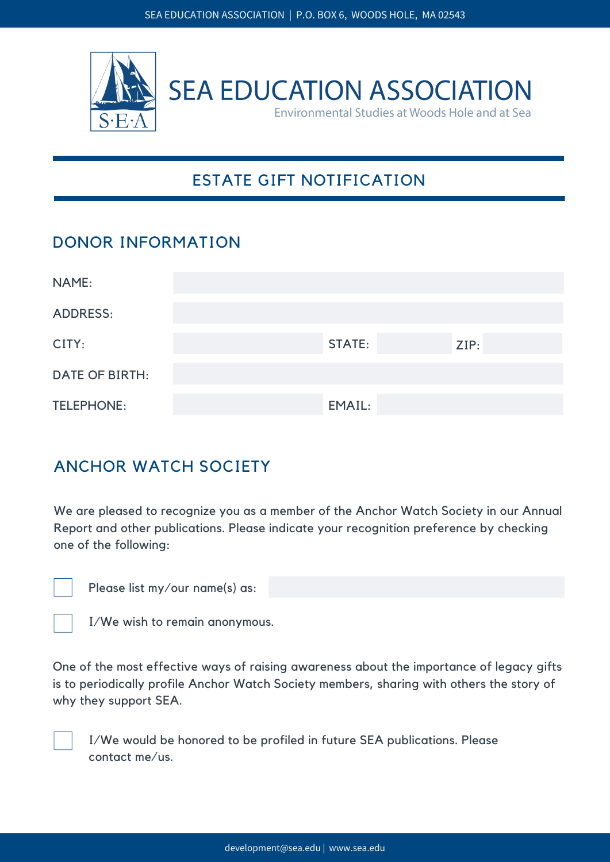

# ESTATE GIFT NOTIFICATION

#### DONOR INFORMATION

| NAME:                 |               |      |
|-----------------------|---------------|------|
| <b>ADDRESS:</b>       |               |      |
| CITY:                 | <b>STATE:</b> | ZIP: |
| <b>DATE OF BIRTH:</b> |               |      |
| <b>TELEPHONE:</b>     | EMAIL:        |      |

## ANCHOR WATCH SOCIETY

We are pleased to recognize you as a member of the Anchor Watch Society in our Annual Report and other publications. Please indicate your recognition preference by checking one of the following:

Please list my/our name(s) as:

I/We wish to remain anonymous.

One of the most effective ways of raising awareness about the importance of legacy gifts is to periodically profile Anchor Watch Society members, sharing with others the story of why they support SEA.

I/We would be honored to be profiled in future SEA publications. Please contact me/us.